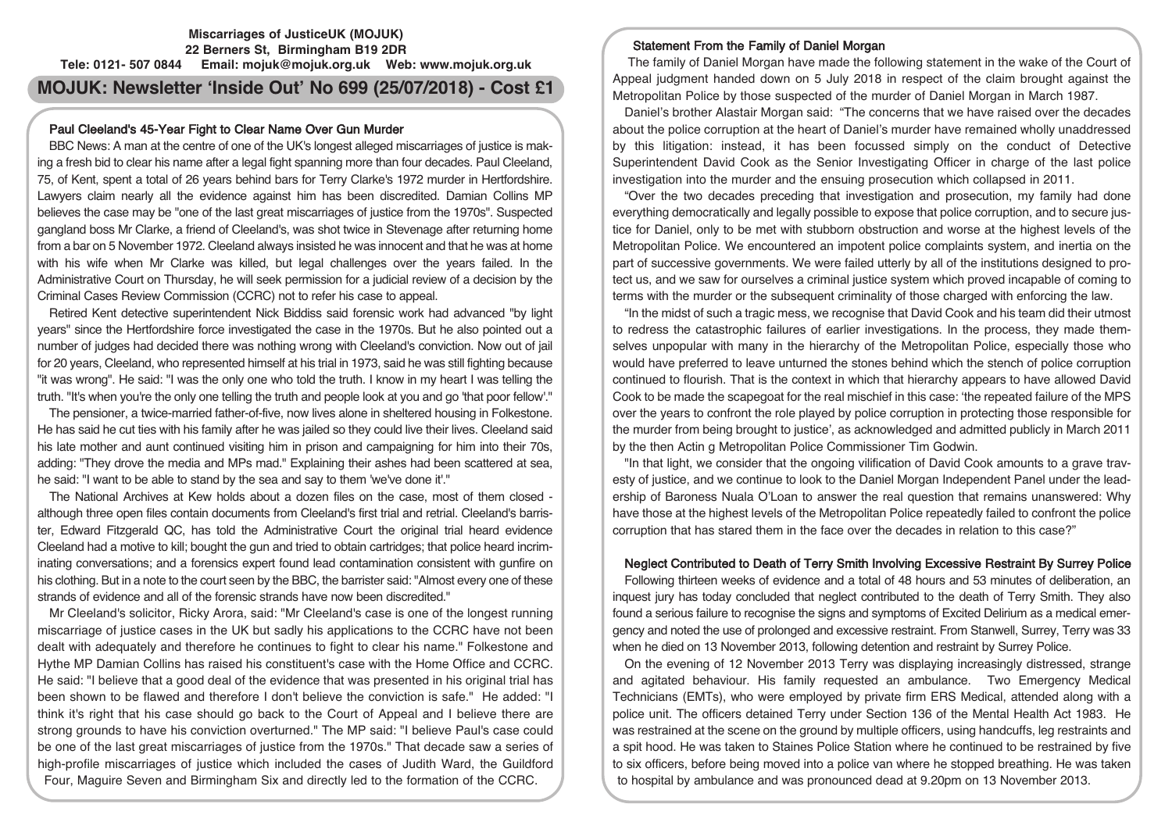# **Miscarriages of JusticeUK (MOJUK) 22 Berners St, Birmingham B19 2DR Tele: 0121- 507 0844 Email: mojuk@mojuk.org.uk Web: www.mojuk.org.uk**

# **MOJUK: Newsletter 'Inside Out' No 699 (25/07/2018) - Cost £1**

# Paul Cleeland's 45-Year Fight to Clear Name Over Gun Murder

BBC News: A man at the centre of one of the UK's longest alleged miscarriages of justice is making a fresh bid to clear his name after a legal fight spanning more than four decades. Paul Cleeland, 75, of Kent, spent a total of 26 years behind bars for Terry Clarke's 1972 murder in Hertfordshire. Lawyers claim nearly all the evidence against him has been discredited. Damian Collins MP believes the case may be "one of the last great miscarriages of justice from the 1970s". Suspected gangland boss Mr Clarke, a friend of Cleeland's, was shot twice in Stevenage after returning home from a bar on 5 November 1972. Cleeland always insisted he was innocent and that he was at home with his wife when Mr Clarke was killed, but legal challenges over the years failed. In the Administrative Court on Thursday, he will seek permission for a judicial review of a decision by the Criminal Cases Review Commission (CCRC) not to refer his case to appeal.

Retired Kent detective superintendent Nick Biddiss said forensic work had advanced "by light years" since the Hertfordshire force investigated the case in the 1970s. But he also pointed out a number of judges had decided there was nothing wrong with Cleeland's conviction. Now out of jail for 20 years, Cleeland, who represented himself at his trial in 1973, said he was still fighting because "it was wrong". He said: "I was the only one who told the truth. I know in my heart I was telling the truth. "It's when you're the only one telling the truth and people look at you and go 'that poor fellow'."

The pensioner, a twice-married father-of-five, now lives alone in sheltered housing in Folkestone. He has said he cut ties with his family after he was jailed so they could live their lives. Cleeland said his late mother and aunt continued visiting him in prison and campaigning for him into their 70s, adding: "They drove the media and MPs mad." Explaining their ashes had been scattered at sea, he said: "I want to be able to stand by the sea and say to them 'we've done it'."

The National Archives at Kew holds about a dozen files on the case, most of them closed although three open files contain documents from Cleeland's first trial and retrial. Cleeland's barrister, Edward Fitzgerald QC, has told the Administrative Court the original trial heard evidence Cleeland had a motive to kill; bought the gun and tried to obtain cartridges; that police heard incriminating conversations; and a forensics expert found lead contamination consistent with gunfire on his clothing. But in a note to the court seen by the BBC, the barrister said: "Almost every one of these strands of evidence and all of the forensic strands have now been discredited."

Mr Cleeland's solicitor, Ricky Arora, said: "Mr Cleeland's case is one of the longest running miscarriage of justice cases in the UK but sadly his applications to the CCRC have not been dealt with adequately and therefore he continues to fight to clear his name." Folkestone and Hythe MP Damian Collins has raised his constituent's case with the Home Office and CCRC. He said: "I believe that a good deal of the evidence that was presented in his original trial has been shown to be flawed and therefore I don't believe the conviction is safe." He added: "I think it's right that his case should go back to the Court of Appeal and I believe there are strong grounds to have his conviction overturned." The MP said: "I believe Paul's case could be one of the last great miscarriages of justice from the 1970s." That decade saw a series of high-profile miscarriages of justice which included the cases of Judith Ward, the Guildford Four, Maguire Seven and Birmingham Six and directly led to the formation of the CCRC.

# Statement From the Family of Daniel Morgan

The family of Daniel Morgan have made the following statement in the wake of the Court of Appeal judgment handed down on 5 July 2018 in respect of the claim brought against the Metropolitan Police by those suspected of the murder of Daniel Morgan in March 1987.

Daniel's brother Alastair Morgan said: "The concerns that we have raised over the decades about the police corruption at the heart of Daniel's murder have remained wholly unaddressed by this litigation: instead, it has been focussed simply on the conduct of Detective Superintendent David Cook as the Senior Investigating Officer in charge of the last police investigation into the murder and the ensuing prosecution which collapsed in 2011.

"Over the two decades preceding that investigation and prosecution, my family had done everything democratically and legally possible to expose that police corruption, and to secure justice for Daniel, only to be met with stubborn obstruction and worse at the highest levels of the Metropolitan Police. We encountered an impotent police complaints system, and inertia on the part of successive governments. We were failed utterly by all of the institutions designed to protect us, and we saw for ourselves a criminal justice system which proved incapable of coming to terms with the murder or the subsequent criminality of those charged with enforcing the law.

"In the midst of such a tragic mess, we recognise that David Cook and his team did their utmost to redress the catastrophic failures of earlier investigations. In the process, they made themselves unpopular with many in the hierarchy of the Metropolitan Police, especially those who would have preferred to leave unturned the stones behind which the stench of police corruption continued to flourish. That is the context in which that hierarchy appears to have allowed David Cook to be made the scapegoat for the real mischief in this case: 'the repeated failure of the MPS over the years to confront the role played by police corruption in protecting those responsible for the murder from being brought to justice', as acknowledged and admitted publicly in March 2011 by the then Actin g Metropolitan Police Commissioner Tim Godwin.

"In that light, we consider that the ongoing vilification of David Cook amounts to a grave travesty of justice, and we continue to look to the Daniel Morgan Independent Panel under the leadership of Baroness Nuala O'Loan to answer the real question that remains unanswered: Why have those at the highest levels of the Metropolitan Police repeatedly failed to confront the police corruption that has stared them in the face over the decades in relation to this case?"

# Neglect Contributed to Death of Terry Smith Involving Excessive Restraint By Surrey Police

Following thirteen weeks of evidence and a total of 48 hours and 53 minutes of deliberation, an inquest jury has today concluded that neglect contributed to the death of Terry Smith. They also found a serious failure to recognise the signs and symptoms of Excited Delirium as a medical emergency and noted the use of prolonged and excessive restraint. From Stanwell, Surrey, Terry was 33 when he died on 13 November 2013, following detention and restraint by Surrey Police.

On the evening of 12 November 2013 Terry was displaying increasingly distressed, strange and agitated behaviour. His family requested an ambulance. Two Emergency Medical Technicians (EMTs), who were employed by private firm ERS Medical, attended along with a police unit. The officers detained Terry under Section 136 of the Mental Health Act 1983. He was restrained at the scene on the ground by multiple officers, using handcuffs, leg restraints and a spit hood. He was taken to Staines Police Station where he continued to be restrained by five to six officers, before being moved into a police van where he stopped breathing. He was taken to hospital by ambulance and was pronounced dead at 9.20pm on 13 November 2013.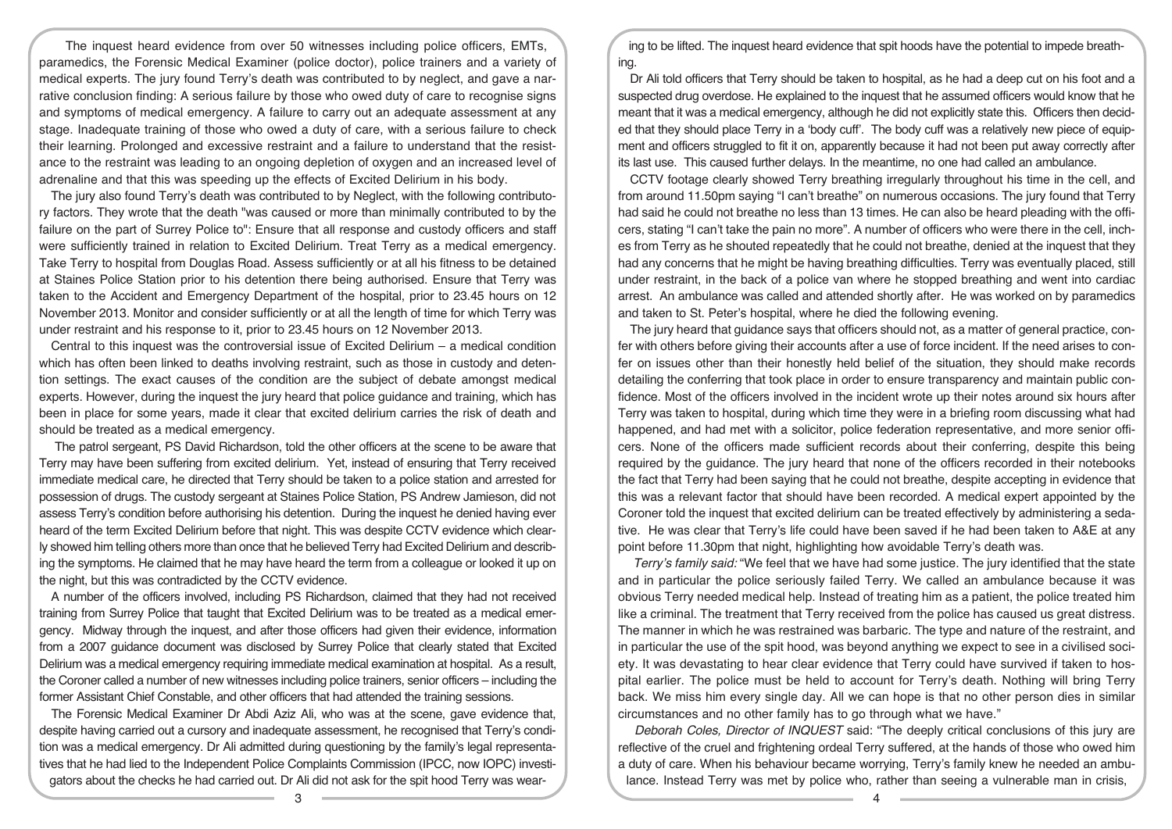The inquest heard evidence from over 50 witnesses including police officers, EMTs, paramedics, the Forensic Medical Examiner (police doctor), police trainers and a variety of medical experts. The jury found Terry's death was contributed to by neglect, and gave a narrative conclusion finding: A serious failure by those who owed duty of care to recognise signs and symptoms of medical emergency. A failure to carry out an adequate assessment at any stage. Inadequate training of those who owed a duty of care, with a serious failure to check their learning. Prolonged and excessive restraint and a failure to understand that the resistance to the restraint was leading to an ongoing depletion of oxygen and an increased level of adrenaline and that this was speeding up the effects of Excited Delirium in his body.

The jury also found Terry's death was contributed to by Neglect, with the following contributory factors. They wrote that the death "was caused or more than minimally contributed to by the failure on the part of Surrey Police to": Ensure that all response and custody officers and staff were sufficiently trained in relation to Excited Delirium. Treat Terry as a medical emergency. Take Terry to hospital from Douglas Road. Assess sufficiently or at all his fitness to be detained at Staines Police Station prior to his detention there being authorised. Ensure that Terry was taken to the Accident and Emergency Department of the hospital, prior to 23.45 hours on 12 November 2013. Monitor and consider sufficiently or at all the length of time for which Terry was under restraint and his response to it, prior to 23.45 hours on 12 November 2013.

Central to this inquest was the controversial issue of Excited Delirium – a medical condition which has often been linked to deaths involving restraint, such as those in custody and detention settings. The exact causes of the condition are the subject of debate amongst medical experts. However, during the inquest the jury heard that police guidance and training, which has been in place for some years, made it clear that excited delirium carries the risk of death and should be treated as a medical emergency.

The patrol sergeant, PS David Richardson, told the other officers at the scene to be aware that Terry may have been suffering from excited delirium. Yet, instead of ensuring that Terry received immediate medical care, he directed that Terry should be taken to a police station and arrested for possession of drugs. The custody sergeant at Staines Police Station, PS Andrew Jamieson, did not assess Terry's condition before authorising his detention. During the inquest he denied having ever heard of the term Excited Delirium before that night. This was despite CCTV evidence which clearly showed him telling others more than once that he believed Terry had Excited Delirium and describing the symptoms. He claimed that he may have heard the term from a colleague or looked it up on the night, but this was contradicted by the CCTV evidence.

A number of the officers involved, including PS Richardson, claimed that they had not received training from Surrey Police that taught that Excited Delirium was to be treated as a medical emergency. Midway through the inquest, and after those officers had given their evidence, information from a 2007 guidance document was disclosed by Surrey Police that clearly stated that Excited Delirium was a medical emergency requiring immediate medical examination at hospital. As a result, the Coroner called a number of new witnesses including police trainers, senior officers – including the former Assistant Chief Constable, and other officers that had attended the training sessions.

The Forensic Medical Examiner Dr Abdi Aziz Ali, who was at the scene, gave evidence that, despite having carried out a cursory and inadequate assessment, he recognised that Terry's condition was a medical emergency. Dr Ali admitted during questioning by the family's legal representatives that he had lied to the Independent Police Complaints Commission (IPCC, now IOPC) investigators about the checks he had carried out. Dr Ali did not ask for the spit hood Terry was wear-

ing to be lifted. The inquest heard evidence that spit hoods have the potential to impede breathing.

Dr Ali told officers that Terry should be taken to hospital, as he had a deep cut on his foot and a suspected drug overdose. He explained to the inquest that he assumed officers would know that he meant that it was a medical emergency, although he did not explicitly state this. Officers then decided that they should place Terry in a 'body cuff'. The body cuff was a relatively new piece of equipment and officers struggled to fit it on, apparently because it had not been put away correctly after its last use. This caused further delays. In the meantime, no one had called an ambulance.

CCTV footage clearly showed Terry breathing irregularly throughout his time in the cell, and from around 11.50pm saying "I can't breathe" on numerous occasions. The jury found that Terry had said he could not breathe no less than 13 times. He can also be heard pleading with the officers, stating "I can't take the pain no more". A number of officers who were there in the cell, inches from Terry as he shouted repeatedly that he could not breathe, denied at the inquest that they had any concerns that he might be having breathing difficulties. Terry was eventually placed, still under restraint, in the back of a police van where he stopped breathing and went into cardiac arrest. An ambulance was called and attended shortly after. He was worked on by paramedics and taken to St. Peter's hospital, where he died the following evening.

The jury heard that guidance says that officers should not, as a matter of general practice, confer with others before giving their accounts after a use of force incident. If the need arises to confer on issues other than their honestly held belief of the situation, they should make records detailing the conferring that took place in order to ensure transparency and maintain public confidence. Most of the officers involved in the incident wrote up their notes around six hours after Terry was taken to hospital, during which time they were in a briefing room discussing what had happened, and had met with a solicitor, police federation representative, and more senior officers. None of the officers made sufficient records about their conferring, despite this being required by the guidance. The jury heard that none of the officers recorded in their notebooks the fact that Terry had been saying that he could not breathe, despite accepting in evidence that this was a relevant factor that should have been recorded. A medical expert appointed by the Coroner told the inquest that excited delirium can be treated effectively by administering a sedative. He was clear that Terry's life could have been saved if he had been taken to A&E at any point before 11.30pm that night, highlighting how avoidable Terry's death was.

Terry's family said: "We feel that we have had some justice. The jury identified that the state and in particular the police seriously failed Terry. We called an ambulance because it was obvious Terry needed medical help. Instead of treating him as a patient, the police treated him like a criminal. The treatment that Terry received from the police has caused us great distress. The manner in which he was restrained was barbaric. The type and nature of the restraint, and in particular the use of the spit hood, was beyond anything we expect to see in a civilised society. It was devastating to hear clear evidence that Terry could have survived if taken to hospital earlier. The police must be held to account for Terry's death. Nothing will bring Terry back. We miss him every single day. All we can hope is that no other person dies in similar circumstances and no other family has to go through what we have."

Deborah Coles, Director of INQUEST said: "The deeply critical conclusions of this jury are reflective of the cruel and frightening ordeal Terry suffered, at the hands of those who owed him a duty of care. When his behaviour became worrying, Terry's family knew he needed an ambulance. Instead Terry was met by police who, rather than seeing a vulnerable man in crisis,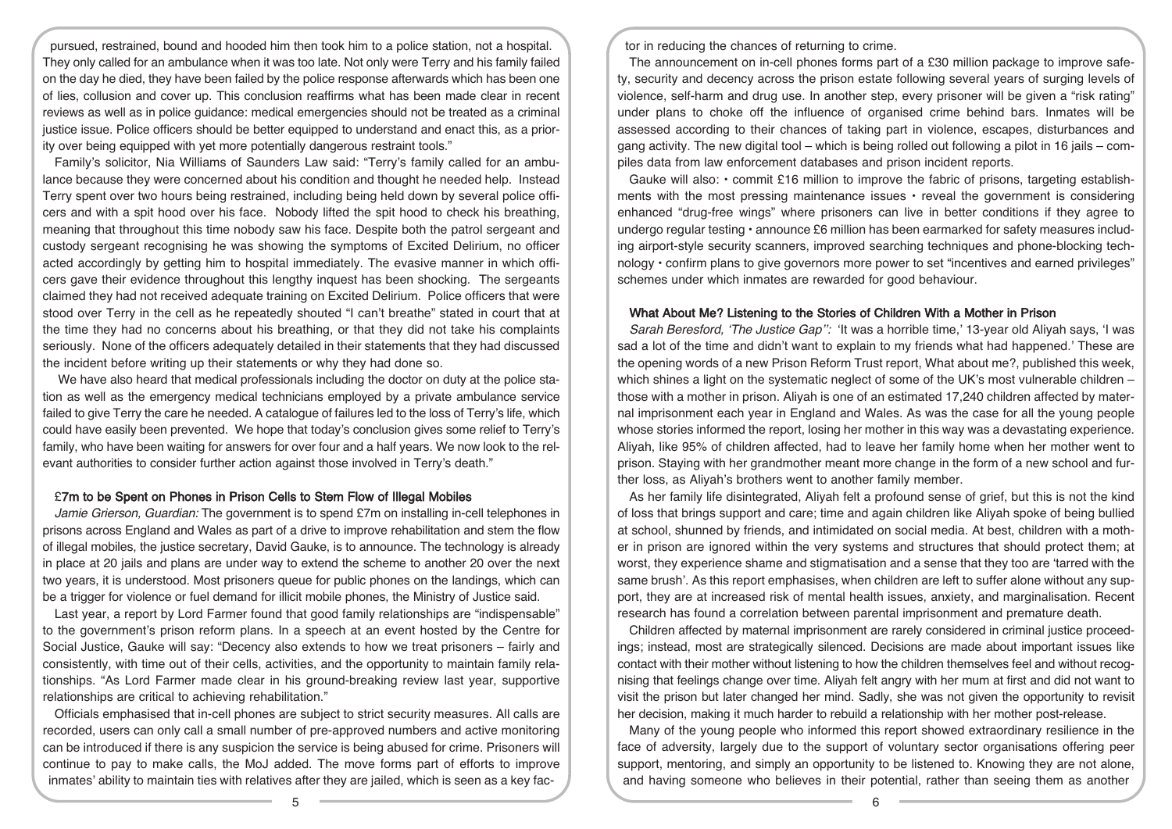pursued, restrained, bound and hooded him then took him to a police station, not a hospital. They only called for an ambulance when it was too late. Not only were Terry and his family failed on the day he died, they have been failed by the police response afterwards which has been one of lies, collusion and cover up. This conclusion reaffirms what has been made clear in recent reviews as well as in police guidance: medical emergencies should not be treated as a criminal justice issue. Police officers should be better equipped to understand and enact this, as a priority over being equipped with yet more potentially dangerous restraint tools."

Family's solicitor, Nia Williams of Saunders Law said: "Terry's family called for an ambulance because they were concerned about his condition and thought he needed help. Instead Terry spent over two hours being restrained, including being held down by several police officers and with a spit hood over his face. Nobody lifted the spit hood to check his breathing, meaning that throughout this time nobody saw his face. Despite both the patrol sergeant and custody sergeant recognising he was showing the symptoms of Excited Delirium, no officer acted accordingly by getting him to hospital immediately. The evasive manner in which officers gave their evidence throughout this lengthy inquest has been shocking. The sergeants claimed they had not received adequate training on Excited Delirium. Police officers that were stood over Terry in the cell as he repeatedly shouted "I can't breathe" stated in court that at the time they had no concerns about his breathing, or that they did not take his complaints seriously. None of the officers adequately detailed in their statements that they had discussed the incident before writing up their statements or why they had done so.

We have also heard that medical professionals including the doctor on duty at the police station as well as the emergency medical technicians employed by a private ambulance service failed to give Terry the care he needed. A catalogue of failures led to the loss of Terry's life, which could have easily been prevented. We hope that today's conclusion gives some relief to Terry's family, who have been waiting for answers for over four and a half years. We now look to the relevant authorities to consider further action against those involved in Terry's death."

## £7m to be Spent on Phones in Prison Cells to Stem Flow of Illegal Mobiles

Jamie Grierson, Guardian: The government is to spend £7m on installing in-cell telephones in prisons across England and Wales as part of a drive to improve rehabilitation and stem the flow of illegal mobiles, the justice secretary, David Gauke, is to announce. The technology is already in place at 20 jails and plans are under way to extend the scheme to another 20 over the next two years, it is understood. Most prisoners queue for public phones on the landings, which can be a trigger for violence or fuel demand for illicit mobile phones, the Ministry of Justice said.

Last year, a report by Lord Farmer found that good family relationships are "indispensable" to the government's prison reform plans. In a speech at an event hosted by the Centre for Social Justice, Gauke will say: "Decency also extends to how we treat prisoners – fairly and consistently, with time out of their cells, activities, and the opportunity to maintain family relationships. "As Lord Farmer made clear in his ground-breaking review last year, supportive relationships are critical to achieving rehabilitation."

Officials emphasised that in-cell phones are subject to strict security measures. All calls are recorded, users can only call a small number of pre-approved numbers and active monitoring can be introduced if there is any suspicion the service is being abused for crime. Prisoners will continue to pay to make calls, the MoJ added. The move forms part of efforts to improve inmates' ability to maintain ties with relatives after they are jailed, which is seen as a key factor in reducing the chances of returning to crime.

The announcement on in-cell phones forms part of a £30 million package to improve safety, security and decency across the prison estate following several years of surging levels of violence, self-harm and drug use. In another step, every prisoner will be given a "risk rating" under plans to choke off the influence of organised crime behind bars. Inmates will be assessed according to their chances of taking part in violence, escapes, disturbances and gang activity. The new digital tool – which is being rolled out following a pilot in 16 jails – compiles data from law enforcement databases and prison incident reports.

Gauke will also: • commit £16 million to improve the fabric of prisons, targeting establishments with the most pressing maintenance issues • reveal the government is considering enhanced "drug-free wings" where prisoners can live in better conditions if they agree to undergo regular testing • announce £6 million has been earmarked for safety measures including airport-style security scanners, improved searching techniques and phone-blocking technology • confirm plans to give governors more power to set "incentives and earned privileges" schemes under which inmates are rewarded for good behaviour.

#### What About Me? Listening to the Stories of Children With a Mother in Prison

Sarah Beresford, 'The Justice Gap": 'It was a horrible time,' 13-year old Aliyah says, 'I was sad a lot of the time and didn't want to explain to my friends what had happened.' These are the opening words of a new Prison Reform Trust report, What about me?, published this week, which shines a light on the systematic neglect of some of the UK's most vulnerable children – those with a mother in prison. Aliyah is one of an estimated 17,240 children affected by maternal imprisonment each year in England and Wales. As was the case for all the young people whose stories informed the report, losing her mother in this way was a devastating experience. Aliyah, like 95% of children affected, had to leave her family home when her mother went to prison. Staying with her grandmother meant more change in the form of a new school and further loss, as Aliyah's brothers went to another family member.

As her family life disintegrated, Aliyah felt a profound sense of grief, but this is not the kind of loss that brings support and care; time and again children like Aliyah spoke of being bullied at school, shunned by friends, and intimidated on social media. At best, children with a mother in prison are ignored within the very systems and structures that should protect them; at worst, they experience shame and stigmatisation and a sense that they too are 'tarred with the same brush'. As this report emphasises, when children are left to suffer alone without any support, they are at increased risk of mental health issues, anxiety, and marginalisation. Recent research has found a correlation between parental imprisonment and premature death.

Children affected by maternal imprisonment are rarely considered in criminal justice proceedings; instead, most are strategically silenced. Decisions are made about important issues like contact with their mother without listening to how the children themselves feel and without recognising that feelings change over time. Aliyah felt angry with her mum at first and did not want to visit the prison but later changed her mind. Sadly, she was not given the opportunity to revisit her decision, making it much harder to rebuild a relationship with her mother post-release.

Many of the young people who informed this report showed extraordinary resilience in the face of adversity, largely due to the support of voluntary sector organisations offering peer support, mentoring, and simply an opportunity to be listened to. Knowing they are not alone, and having someone who believes in their potential, rather than seeing them as another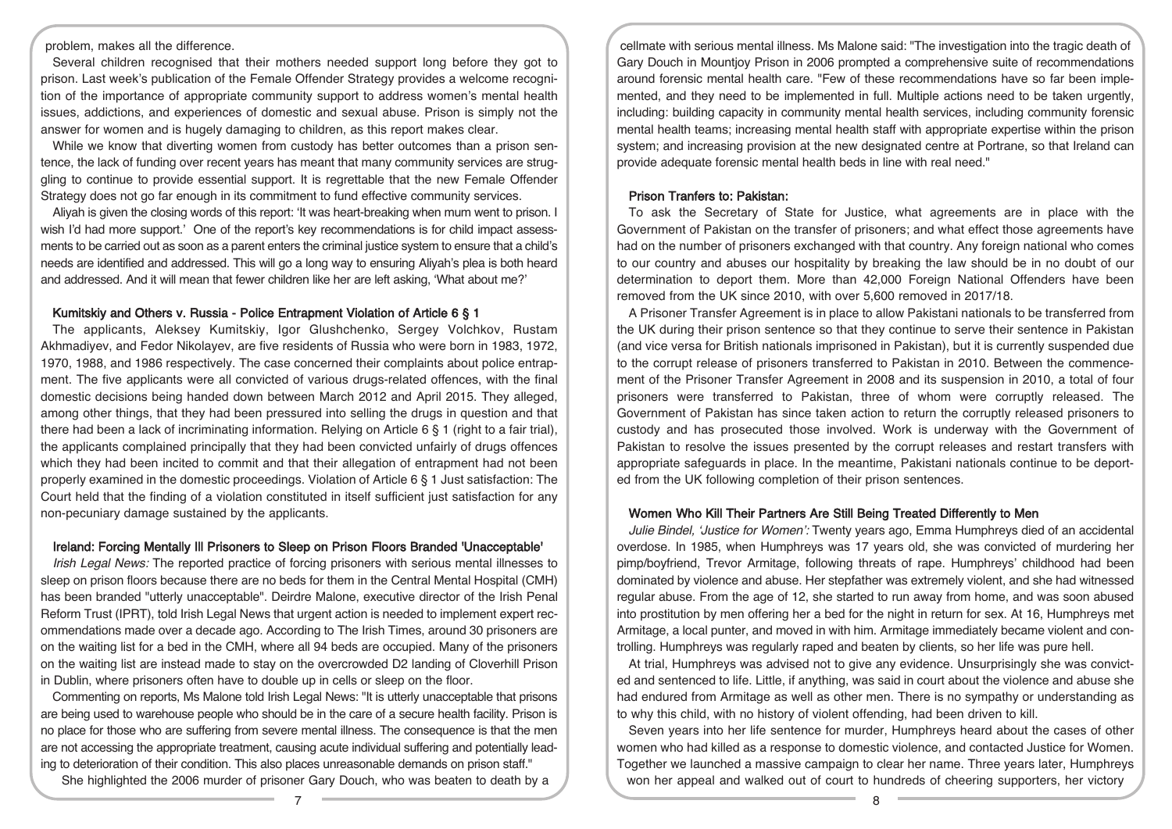## problem, makes all the difference.

Several children recognised that their mothers needed support long before they got to prison. Last week's publication of the Female Offender Strategy provides a welcome recognition of the importance of appropriate community support to address women's mental health issues, addictions, and experiences of domestic and sexual abuse. Prison is simply not the answer for women and is hugely damaging to children, as this report makes clear.

While we know that diverting women from custody has better outcomes than a prison sentence, the lack of funding over recent years has meant that many community services are struggling to continue to provide essential support. It is regrettable that the new Female Offender Strategy does not go far enough in its commitment to fund effective community services.

Aliyah is given the closing words of this report: 'It was heart-breaking when mum went to prison. I wish I'd had more support.' One of the report's key recommendations is for child impact assessments to be carried out as soon as a parent enters the criminal justice system to ensure that a child's needs are identified and addressed. This will go a long way to ensuring Aliyah's plea is both heard and addressed. And it will mean that fewer children like her are left asking, 'What about me?'

## Kumitskiy and Others v. Russia - Police Entrapment Violation of Article 6 § 1

The applicants, Aleksey Kumitskiy, Igor Glushchenko, Sergey Volchkov, Rustam Akhmadiyev, and Fedor Nikolayev, are five residents of Russia who were born in 1983, 1972, 1970, 1988, and 1986 respectively. The case concerned their complaints about police entrapment. The five applicants were all convicted of various drugs-related offences, with the final domestic decisions being handed down between March 2012 and April 2015. They alleged, among other things, that they had been pressured into selling the drugs in question and that there had been a lack of incriminating information. Relying on Article 6 § 1 (right to a fair trial), the applicants complained principally that they had been convicted unfairly of drugs offences which they had been incited to commit and that their allegation of entrapment had not been properly examined in the domestic proceedings. Violation of Article 6 § 1 Just satisfaction: The Court held that the finding of a violation constituted in itself sufficient just satisfaction for any non-pecuniary damage sustained by the applicants.

#### Ireland: Forcing Mentally Ill Prisoners to Sleep on Prison Floors Branded 'Unacceptable'

Irish Legal News: The reported practice of forcing prisoners with serious mental illnesses to sleep on prison floors because there are no beds for them in the Central Mental Hospital (CMH) has been branded "utterly unacceptable". Deirdre Malone, executive director of the Irish Penal Reform Trust (IPRT), told Irish Legal News that urgent action is needed to implement expert recommendations made over a decade ago. According to The Irish Times, around 30 prisoners are on the waiting list for a bed in the CMH, where all 94 beds are occupied. Many of the prisoners on the waiting list are instead made to stay on the overcrowded D2 landing of Cloverhill Prison in Dublin, where prisoners often have to double up in cells or sleep on the floor.

Commenting on reports, Ms Malone told Irish Legal News: "It is utterly unacceptable that prisons are being used to warehouse people who should be in the care of a secure health facility. Prison is no place for those who are suffering from severe mental illness. The consequence is that the men are not accessing the appropriate treatment, causing acute individual suffering and potentially leading to deterioration of their condition. This also places unreasonable demands on prison staff."

She highlighted the 2006 murder of prisoner Gary Douch, who was beaten to death by a

cellmate with serious mental illness. Ms Malone said: "The investigation into the tragic death of Gary Douch in Mountjoy Prison in 2006 prompted a comprehensive suite of recommendations around forensic mental health care. "Few of these recommendations have so far been implemented, and they need to be implemented in full. Multiple actions need to be taken urgently, including: building capacity in community mental health services, including community forensic mental health teams; increasing mental health staff with appropriate expertise within the prison system; and increasing provision at the new designated centre at Portrane, so that Ireland can provide adequate forensic mental health beds in line with real need."

# Prison Tranfers to: Pakistan:

To ask the Secretary of State for Justice, what agreements are in place with the Government of Pakistan on the transfer of prisoners; and what effect those agreements have had on the number of prisoners exchanged with that country. Any foreign national who comes to our country and abuses our hospitality by breaking the law should be in no doubt of our determination to deport them. More than 42,000 Foreign National Offenders have been removed from the UK since 2010, with over 5,600 removed in 2017/18.

A Prisoner Transfer Agreement is in place to allow Pakistani nationals to be transferred from the UK during their prison sentence so that they continue to serve their sentence in Pakistan (and vice versa for British nationals imprisoned in Pakistan), but it is currently suspended due to the corrupt release of prisoners transferred to Pakistan in 2010. Between the commencement of the Prisoner Transfer Agreement in 2008 and its suspension in 2010, a total of four prisoners were transferred to Pakistan, three of whom were corruptly released. The Government of Pakistan has since taken action to return the corruptly released prisoners to custody and has prosecuted those involved. Work is underway with the Government of Pakistan to resolve the issues presented by the corrupt releases and restart transfers with appropriate safeguards in place. In the meantime, Pakistani nationals continue to be deported from the UK following completion of their prison sentences.

# Women Who Kill Their Partners Are Still Being Treated Differently to Men

Julie Bindel, 'Justice for Women': Twenty years ago, Emma Humphreys died of an accidental overdose. In 1985, when Humphreys was 17 years old, she was convicted of murdering her pimp/boyfriend, Trevor Armitage, following threats of rape. Humphreys' childhood had been dominated by violence and abuse. Her stepfather was extremely violent, and she had witnessed regular abuse. From the age of 12, she started to run away from home, and was soon abused into prostitution by men offering her a bed for the night in return for sex. At 16, Humphreys met Armitage, a local punter, and moved in with him. Armitage immediately became violent and controlling. Humphreys was regularly raped and beaten by clients, so her life was pure hell.

At trial, Humphreys was advised not to give any evidence. Unsurprisingly she was convicted and sentenced to life. Little, if anything, was said in court about the violence and abuse she had endured from Armitage as well as other men. There is no sympathy or understanding as to why this child, with no history of violent offending, had been driven to kill.

Seven years into her life sentence for murder, Humphreys heard about the cases of other women who had killed as a response to domestic violence, and contacted Justice for Women. Together we launched a massive campaign to clear her name. Three years later, Humphreys won her appeal and walked out of court to hundreds of cheering supporters, her victory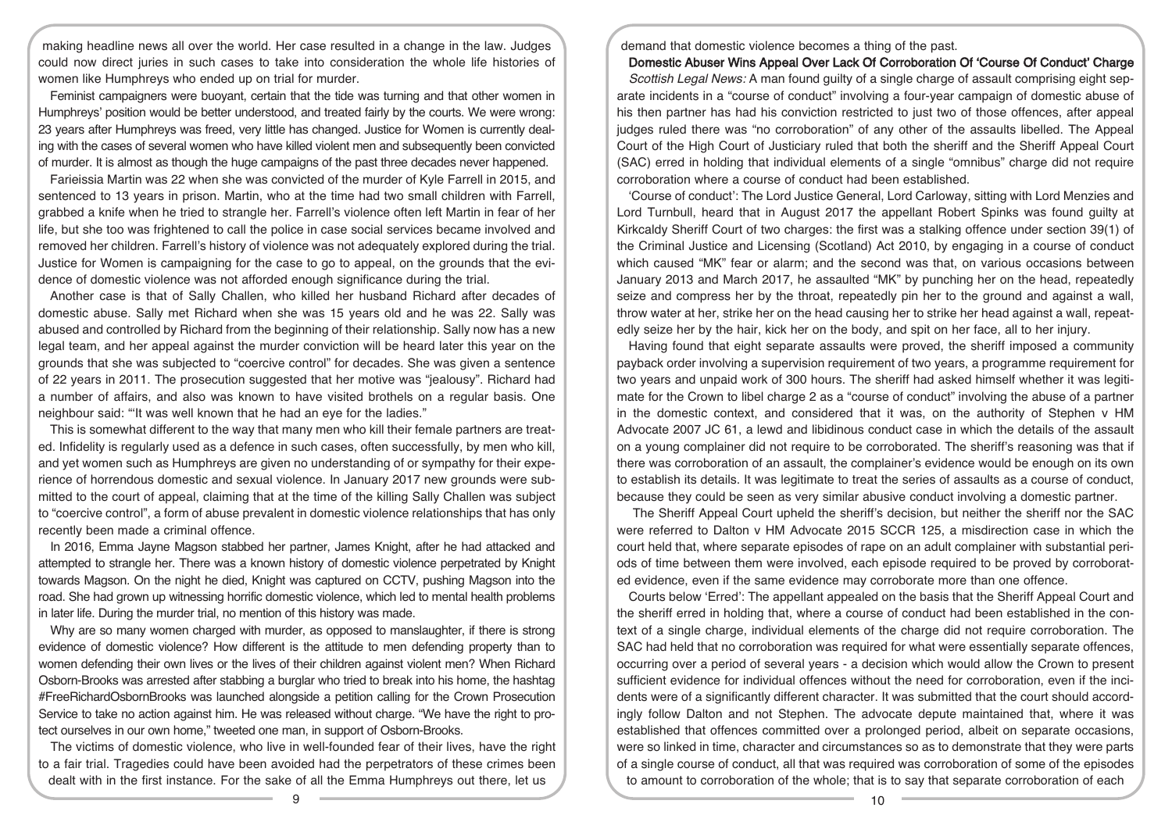making headline news all over the world. Her case resulted in a change in the law. Judges could now direct juries in such cases to take into consideration the whole life histories of women like Humphreys who ended up on trial for murder.

Feminist campaigners were buoyant, certain that the tide was turning and that other women in Humphreys' position would be better understood, and treated fairly by the courts. We were wrong: 23 years after Humphreys was freed, very little has changed. Justice for Women is currently dealing with the cases of several women who have killed violent men and subsequently been convicted of murder. It is almost as though the huge campaigns of the past three decades never happened.

Farieissia Martin was 22 when she was convicted of the murder of Kyle Farrell in 2015, and sentenced to 13 years in prison. Martin, who at the time had two small children with Farrell, grabbed a knife when he tried to strangle her. Farrell's violence often left Martin in fear of her life, but she too was frightened to call the police in case social services became involved and removed her children. Farrell's history of violence was not adequately explored during the trial. Justice for Women is campaigning for the case to go to appeal, on the grounds that the evidence of domestic violence was not afforded enough significance during the trial.

Another case is that of Sally Challen, who killed her husband Richard after decades of domestic abuse. Sally met Richard when she was 15 years old and he was 22. Sally was abused and controlled by Richard from the beginning of their relationship. Sally now has a new legal team, and her appeal against the murder conviction will be heard later this year on the grounds that she was subjected to "coercive control" for decades. She was given a sentence of 22 years in 2011. The prosecution suggested that her motive was "jealousy". Richard had a number of affairs, and also was known to have visited brothels on a regular basis. One neighbour said: "'It was well known that he had an eye for the ladies."

This is somewhat different to the way that many men who kill their female partners are treated. Infidelity is regularly used as a defence in such cases, often successfully, by men who kill, and yet women such as Humphreys are given no understanding of or sympathy for their experience of horrendous domestic and sexual violence. In January 2017 new grounds were submitted to the court of appeal, claiming that at the time of the killing Sally Challen was subject to "coercive control", a form of abuse prevalent in domestic violence relationships that has only recently been made a criminal offence.

In 2016, Emma Jayne Magson stabbed her partner, James Knight, after he had attacked and attempted to strangle her. There was a known history of domestic violence perpetrated by Knight towards Magson. On the night he died, Knight was captured on CCTV, pushing Magson into the road. She had grown up witnessing horrific domestic violence, which led to mental health problems in later life. During the murder trial, no mention of this history was made.

Why are so many women charged with murder, as opposed to manslaughter, if there is strong evidence of domestic violence? How different is the attitude to men defending property than to women defending their own lives or the lives of their children against violent men? When Richard Osborn-Brooks was arrested after stabbing a burglar who tried to break into his home, the hashtag #FreeRichardOsbornBrooks was launched alongside a petition calling for the Crown Prosecution Service to take no action against him. He was released without charge. "We have the right to protect ourselves in our own home," tweeted one man, in support of Osborn-Brooks.

The victims of domestic violence, who live in well-founded fear of their lives, have the right to a fair trial. Tragedies could have been avoided had the perpetrators of these crimes been dealt with in the first instance. For the sake of all the Emma Humphreys out there, let us

demand that domestic violence becomes a thing of the past.

# Domestic Abuser Wins Appeal Over Lack Of Corroboration Of 'Course Of Conduct' Charge

Scottish Legal News: A man found quilty of a single charge of assault comprising eight separate incidents in a "course of conduct" involving a four-year campaign of domestic abuse of his then partner has had his conviction restricted to just two of those offences, after appeal judges ruled there was "no corroboration" of any other of the assaults libelled. The Appeal Court of the High Court of Justiciary ruled that both the sheriff and the Sheriff Appeal Court (SAC) erred in holding that individual elements of a single "omnibus" charge did not require corroboration where a course of conduct had been established.

'Course of conduct': The Lord Justice General, Lord Carloway, sitting with Lord Menzies and Lord Turnbull, heard that in August 2017 the appellant Robert Spinks was found guilty at Kirkcaldy Sheriff Court of two charges: the first was a stalking offence under section 39(1) of the Criminal Justice and Licensing (Scotland) Act 2010, by engaging in a course of conduct which caused "MK" fear or alarm; and the second was that, on various occasions between January 2013 and March 2017, he assaulted "MK" by punching her on the head, repeatedly seize and compress her by the throat, repeatedly pin her to the ground and against a wall, throw water at her, strike her on the head causing her to strike her head against a wall, repeatedly seize her by the hair, kick her on the body, and spit on her face, all to her injury.

Having found that eight separate assaults were proved, the sheriff imposed a community payback order involving a supervision requirement of two years, a programme requirement for two years and unpaid work of 300 hours. The sheriff had asked himself whether it was legitimate for the Crown to libel charge 2 as a "course of conduct" involving the abuse of a partner in the domestic context, and considered that it was, on the authority of Stephen v HM Advocate 2007 JC 61, a lewd and libidinous conduct case in which the details of the assault on a young complainer did not require to be corroborated. The sheriff's reasoning was that if there was corroboration of an assault, the complainer's evidence would be enough on its own to establish its details. It was legitimate to treat the series of assaults as a course of conduct, because they could be seen as very similar abusive conduct involving a domestic partner.

The Sheriff Appeal Court upheld the sheriff's decision, but neither the sheriff nor the SAC were referred to Dalton v HM Advocate 2015 SCCR 125, a misdirection case in which the court held that, where separate episodes of rape on an adult complainer with substantial periods of time between them were involved, each episode required to be proved by corroborated evidence, even if the same evidence may corroborate more than one offence.

Courts below 'Erred': The appellant appealed on the basis that the Sheriff Appeal Court and the sheriff erred in holding that, where a course of conduct had been established in the context of a single charge, individual elements of the charge did not require corroboration. The SAC had held that no corroboration was required for what were essentially separate offences, occurring over a period of several years - a decision which would allow the Crown to present sufficient evidence for individual offences without the need for corroboration, even if the incidents were of a significantly different character. It was submitted that the court should accordingly follow Dalton and not Stephen. The advocate depute maintained that, where it was established that offences committed over a prolonged period, albeit on separate occasions, were so linked in time, character and circumstances so as to demonstrate that they were parts of a single course of conduct, all that was required was corroboration of some of the episodes to amount to corroboration of the whole; that is to say that separate corroboration of each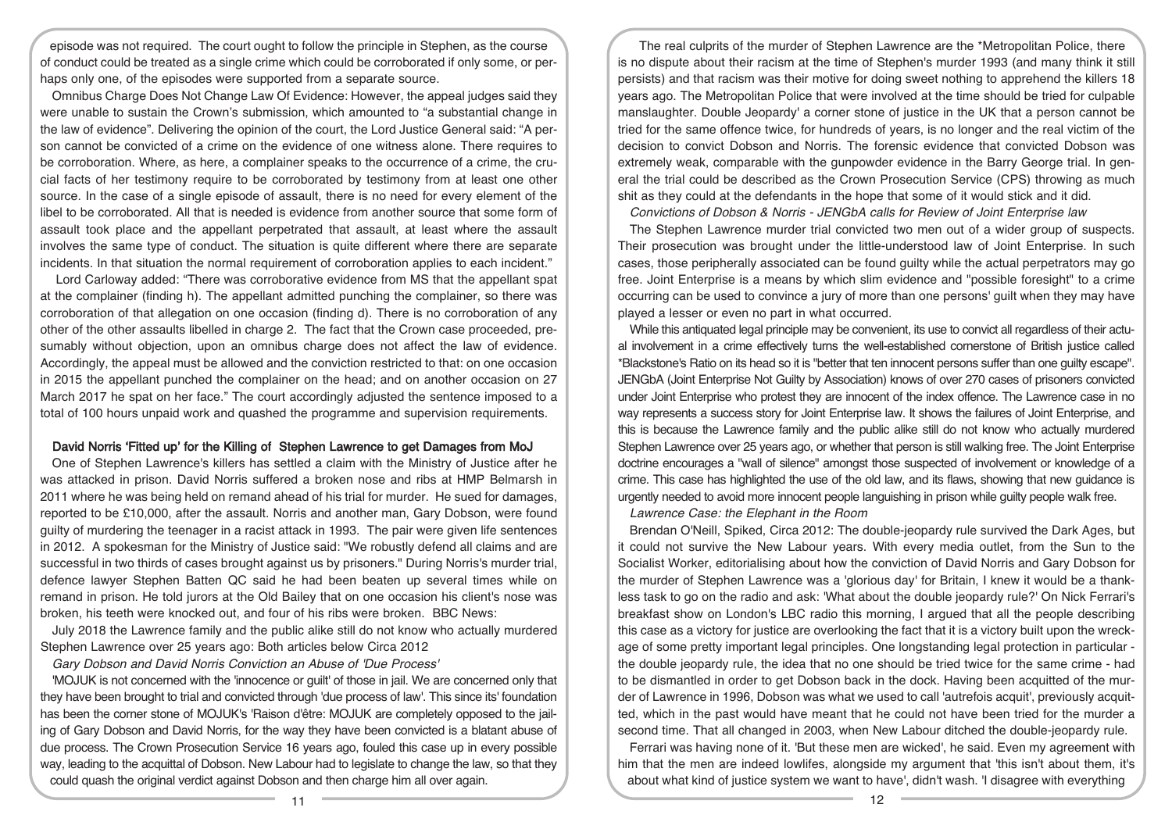episode was not required. The court ought to follow the principle in Stephen, as the course of conduct could be treated as a single crime which could be corroborated if only some, or perhaps only one, of the episodes were supported from a separate source.

Omnibus Charge Does Not Change Law Of Evidence: However, the appeal judges said they were unable to sustain the Crown's submission, which amounted to "a substantial change in the law of evidence". Delivering the opinion of the court, the Lord Justice General said: "A person cannot be convicted of a crime on the evidence of one witness alone. There requires to be corroboration. Where, as here, a complainer speaks to the occurrence of a crime, the crucial facts of her testimony require to be corroborated by testimony from at least one other source. In the case of a single episode of assault, there is no need for every element of the libel to be corroborated. All that is needed is evidence from another source that some form of assault took place and the appellant perpetrated that assault, at least where the assault involves the same type of conduct. The situation is quite different where there are separate incidents. In that situation the normal requirement of corroboration applies to each incident."

Lord Carloway added: "There was corroborative evidence from MS that the appellant spat at the complainer (finding h). The appellant admitted punching the complainer, so there was corroboration of that allegation on one occasion (finding d). There is no corroboration of any other of the other assaults libelled in charge 2. The fact that the Crown case proceeded, presumably without objection, upon an omnibus charge does not affect the law of evidence. Accordingly, the appeal must be allowed and the conviction restricted to that: on one occasion in 2015 the appellant punched the complainer on the head; and on another occasion on 27 March 2017 he spat on her face." The court accordingly adjusted the sentence imposed to a total of 100 hours unpaid work and quashed the programme and supervision requirements.

# David Norris 'Fitted up' for the Killing of Stephen Lawrence to get Damages from MoJ

One of Stephen Lawrence's killers has settled a claim with the Ministry of Justice after he was attacked in prison. David Norris suffered a broken nose and ribs at HMP Belmarsh in 2011 where he was being held on remand ahead of his trial for murder. He sued for damages, reported to be £10,000, after the assault. Norris and another man, Gary Dobson, were found guilty of murdering the teenager in a racist attack in 1993. The pair were given life sentences in 2012. A spokesman for the Ministry of Justice said: "We robustly defend all claims and are successful in two thirds of cases brought against us by prisoners." During Norris's murder trial, defence lawyer Stephen Batten QC said he had been beaten up several times while on remand in prison. He told jurors at the Old Bailey that on one occasion his client's nose was broken, his teeth were knocked out, and four of his ribs were broken. BBC News:

July 2018 the Lawrence family and the public alike still do not know who actually murdered Stephen Lawrence over 25 years ago: Both articles below Circa 2012

Gary Dobson and David Norris Conviction an Abuse of 'Due Process'

'MOJUK is not concerned with the 'innocence or guilt' of those in jail. We are concerned only that they have been brought to trial and convicted through 'due process of law'. This since its' foundation has been the corner stone of MOJUK's 'Raison d'être: MOJUK are completely opposed to the jailing of Gary Dobson and David Norris, for the way they have been convicted is a blatant abuse of due process. The Crown Prosecution Service 16 years ago, fouled this case up in every possible way, leading to the acquittal of Dobson. New Labour had to legislate to change the law, so that they could quash the original verdict against Dobson and then charge him all over again.

The real culprits of the murder of Stephen Lawrence are the \*Metropolitan Police, there is no dispute about their racism at the time of Stephen's murder 1993 (and many think it still persists) and that racism was their motive for doing sweet nothing to apprehend the killers 18 years ago. The Metropolitan Police that were involved at the time should be tried for culpable manslaughter. Double Jeopardy' a corner stone of justice in the UK that a person cannot be tried for the same offence twice, for hundreds of years, is no longer and the real victim of the decision to convict Dobson and Norris. The forensic evidence that convicted Dobson was extremely weak, comparable with the gunpowder evidence in the Barry George trial. In general the trial could be described as the Crown Prosecution Service (CPS) throwing as much shit as they could at the defendants in the hope that some of it would stick and it did.

Convictions of Dobson & Norris - JENGbA calls for Review of Joint Enterprise law

The Stephen Lawrence murder trial convicted two men out of a wider group of suspects. Their prosecution was brought under the little-understood law of Joint Enterprise. In such cases, those peripherally associated can be found guilty while the actual perpetrators may go free. Joint Enterprise is a means by which slim evidence and "possible foresight" to a crime occurring can be used to convince a jury of more than one persons' guilt when they may have played a lesser or even no part in what occurred.

While this antiquated legal principle may be convenient, its use to convict all regardless of their actual involvement in a crime effectively turns the well-established cornerstone of British justice called \*Blackstone's Ratio on its head so it is "better that ten innocent persons suffer than one guilty escape". JENGbA (Joint Enterprise Not Guilty by Association) knows of over 270 cases of prisoners convicted under Joint Enterprise who protest they are innocent of the index offence. The Lawrence case in no way represents a success story for Joint Enterprise law. It shows the failures of Joint Enterprise, and this is because the Lawrence family and the public alike still do not know who actually murdered Stephen Lawrence over 25 years ago, or whether that person is still walking free. The Joint Enterprise doctrine encourages a "wall of silence" amongst those suspected of involvement or knowledge of a crime. This case has highlighted the use of the old law, and its flaws, showing that new guidance is urgently needed to avoid more innocent people languishing in prison while guilty people walk free.

Lawrence Case: the Elephant in the Room

Brendan O'Neill, Spiked, Circa 2012: The double-jeopardy rule survived the Dark Ages, but it could not survive the New Labour years. With every media outlet, from the Sun to the Socialist Worker, editorialising about how the conviction of David Norris and Gary Dobson for the murder of Stephen Lawrence was a 'glorious day' for Britain, I knew it would be a thankless task to go on the radio and ask: 'What about the double jeopardy rule?' On Nick Ferrari's breakfast show on London's LBC radio this morning, I argued that all the people describing this case as a victory for justice are overlooking the fact that it is a victory built upon the wreckage of some pretty important legal principles. One longstanding legal protection in particular the double jeopardy rule, the idea that no one should be tried twice for the same crime - had to be dismantled in order to get Dobson back in the dock. Having been acquitted of the murder of Lawrence in 1996, Dobson was what we used to call 'autrefois acquit', previously acquitted, which in the past would have meant that he could not have been tried for the murder a second time. That all changed in 2003, when New Labour ditched the double-jeopardy rule.

Ferrari was having none of it. 'But these men are wicked', he said. Even my agreement with him that the men are indeed lowlifes, alongside my argument that 'this isn't about them, it's about what kind of justice system we want to have', didn't wash. 'I disagree with everything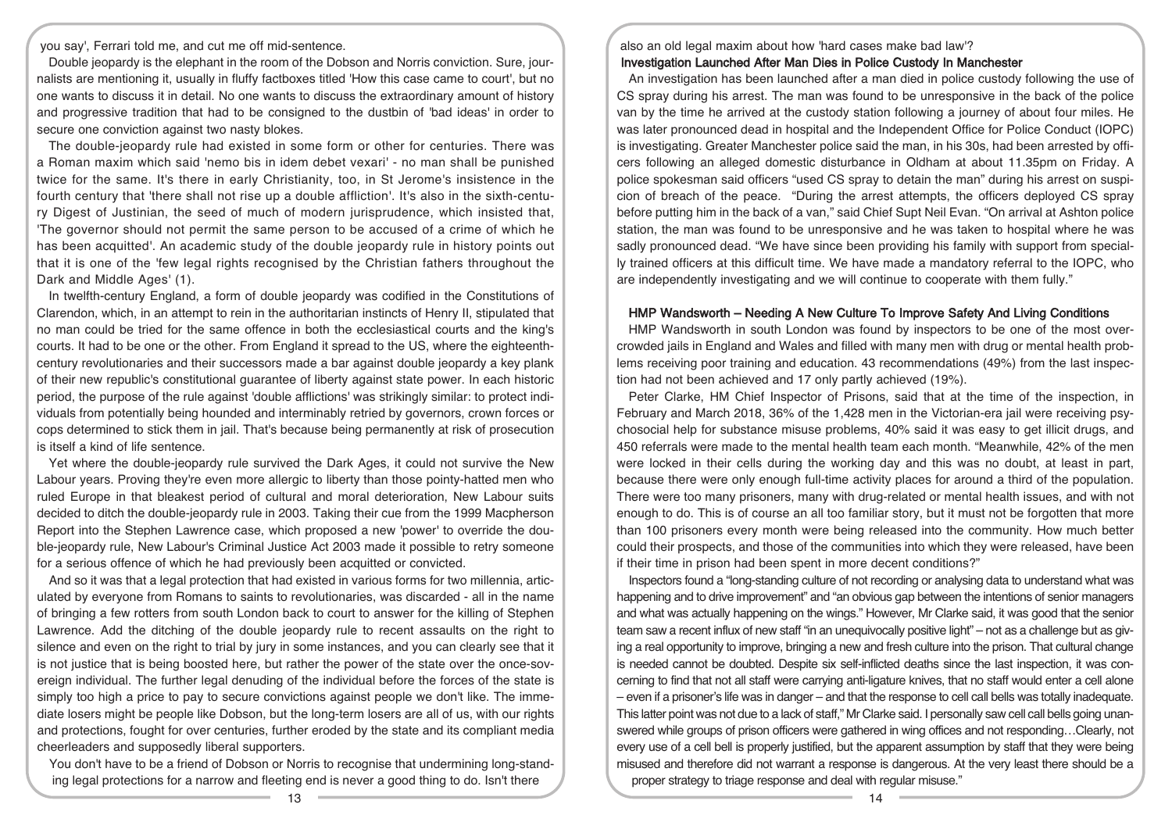# you say', Ferrari told me, and cut me off mid-sentence.

Double jeopardy is the elephant in the room of the Dobson and Norris conviction. Sure, journalists are mentioning it, usually in fluffy factboxes titled 'How this case came to court', but no one wants to discuss it in detail. No one wants to discuss the extraordinary amount of history and progressive tradition that had to be consigned to the dustbin of 'bad ideas' in order to secure one conviction against two nasty blokes.

The double-jeopardy rule had existed in some form or other for centuries. There was a Roman maxim which said 'nemo bis in idem debet vexari' - no man shall be punished twice for the same. It's there in early Christianity, too, in St Jerome's insistence in the fourth century that 'there shall not rise up a double affliction'. It's also in the sixth-century Digest of Justinian, the seed of much of modern jurisprudence, which insisted that, 'The governor should not permit the same person to be accused of a crime of which he has been acquitted'. An academic study of the double jeopardy rule in history points out that it is one of the 'few legal rights recognised by the Christian fathers throughout the Dark and Middle Ages' (1).

In twelfth-century England, a form of double jeopardy was codified in the Constitutions of Clarendon, which, in an attempt to rein in the authoritarian instincts of Henry II, stipulated that no man could be tried for the same offence in both the ecclesiastical courts and the king's courts. It had to be one or the other. From England it spread to the US, where the eighteenthcentury revolutionaries and their successors made a bar against double jeopardy a key plank of their new republic's constitutional guarantee of liberty against state power. In each historic period, the purpose of the rule against 'double afflictions' was strikingly similar: to protect individuals from potentially being hounded and interminably retried by governors, crown forces or cops determined to stick them in jail. That's because being permanently at risk of prosecution is itself a kind of life sentence.

Yet where the double-jeopardy rule survived the Dark Ages, it could not survive the New Labour years. Proving they're even more allergic to liberty than those pointy-hatted men who ruled Europe in that bleakest period of cultural and moral deterioration, New Labour suits decided to ditch the double-jeopardy rule in 2003. Taking their cue from the 1999 Macpherson Report into the Stephen Lawrence case, which proposed a new 'power' to override the double-jeopardy rule, New Labour's Criminal Justice Act 2003 made it possible to retry someone for a serious offence of which he had previously been acquitted or convicted.

And so it was that a legal protection that had existed in various forms for two millennia, articulated by everyone from Romans to saints to revolutionaries, was discarded - all in the name of bringing a few rotters from south London back to court to answer for the killing of Stephen Lawrence. Add the ditching of the double jeopardy rule to recent assaults on the right to silence and even on the right to trial by jury in some instances, and you can clearly see that it is not justice that is being boosted here, but rather the power of the state over the once-sovereign individual. The further legal denuding of the individual before the forces of the state is simply too high a price to pay to secure convictions against people we don't like. The immediate losers might be people like Dobson, but the long-term losers are all of us, with our rights and protections, fought for over centuries, further eroded by the state and its compliant media cheerleaders and supposedly liberal supporters.

You don't have to be a friend of Dobson or Norris to recognise that undermining long-standing legal protections for a narrow and fleeting end is never a good thing to do. Isn't there

also an old legal maxim about how 'hard cases make bad law'? Investigation Launched After Man Dies in Police Custody In Manchester

An investigation has been launched after a man died in police custody following the use of CS spray during his arrest. The man was found to be unresponsive in the back of the police van by the time he arrived at the custody station following a journey of about four miles. He was later pronounced dead in hospital and the Independent Office for Police Conduct (IOPC) is investigating. Greater Manchester police said the man, in his 30s, had been arrested by officers following an alleged domestic disturbance in Oldham at about 11.35pm on Friday. A police spokesman said officers "used CS spray to detain the man" during his arrest on suspicion of breach of the peace. "During the arrest attempts, the officers deployed CS spray before putting him in the back of a van," said Chief Supt Neil Evan. "On arrival at Ashton police station, the man was found to be unresponsive and he was taken to hospital where he was sadly pronounced dead. "We have since been providing his family with support from specially trained officers at this difficult time. We have made a mandatory referral to the IOPC, who are independently investigating and we will continue to cooperate with them fully."

#### HMP Wandsworth – Needing A New Culture To Improve Safety And Living Conditions

HMP Wandsworth in south London was found by inspectors to be one of the most overcrowded jails in England and Wales and filled with many men with drug or mental health problems receiving poor training and education. 43 recommendations (49%) from the last inspection had not been achieved and 17 only partly achieved (19%).

Peter Clarke, HM Chief Inspector of Prisons, said that at the time of the inspection, in February and March 2018, 36% of the 1,428 men in the Victorian-era jail were receiving psychosocial help for substance misuse problems, 40% said it was easy to get illicit drugs, and 450 referrals were made to the mental health team each month. "Meanwhile, 42% of the men were locked in their cells during the working day and this was no doubt, at least in part, because there were only enough full-time activity places for around a third of the population. There were too many prisoners, many with drug-related or mental health issues, and with not enough to do. This is of course an all too familiar story, but it must not be forgotten that more than 100 prisoners every month were being released into the community. How much better could their prospects, and those of the communities into which they were released, have been if their time in prison had been spent in more decent conditions?"

Inspectors found a "long-standing culture of not recording or analysing data to understand what was happening and to drive improvement" and "an obvious gap between the intentions of senior managers and what was actually happening on the wings." However, Mr Clarke said, it was good that the senior team saw a recent influx of new staff "in an unequivocally positive light" – not as a challenge but as giving a real opportunity to improve, bringing a new and fresh culture into the prison. That cultural change is needed cannot be doubted. Despite six self-inflicted deaths since the last inspection, it was concerning to find that not all staff were carrying anti-ligature knives, that no staff would enter a cell alone – even if a prisoner's life was in danger – and that the response to cell call bells was totally inadequate. This latter point was not due to a lack of staff," Mr Clarke said. I personally saw cell call bells going unanswered while groups of prison officers were gathered in wing offices and not responding…Clearly, not every use of a cell bell is properly justified, but the apparent assumption by staff that they were being misused and therefore did not warrant a response is dangerous. At the very least there should be a proper strategy to triage response and deal with regular misuse."